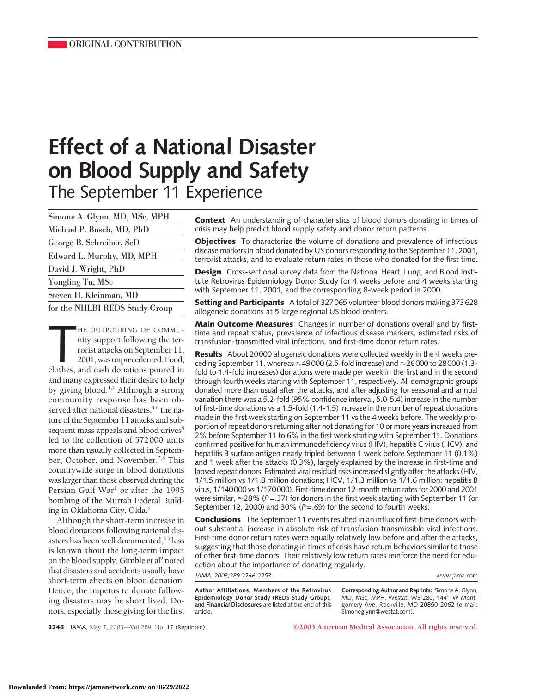# **Effect of a National Disaster on Blood Supply and Safety** The September 11 Experience

Simone A. Glynn, MD, MSc, MPH Michael P. Busch, MD, PhD George B. Schreiber, ScD Edward L. Murphy, MD, MPH David J. Wright, PhD Yongling Tu, MSc Steven H. Kleinman, MD for the NHLBI REDS Study Group

HE OUTPOURING OF COMMU-<br>
nity support following the ter-<br>
rorist attacks on September 11,<br>
2001, was unprecedented. Food,<br>
clothes, and cash donations poured in HE OUTPOURING OF COMMUnity support following the terrorist attacks on September 11, 2001, was unprecedented. Food, and many expressed their desire to help by giving blood.1,2 Although a strong community response has been observed after national disasters,<sup>3-6</sup> the nature of the September 11 attacks and subsequent mass appeals and blood drives<sup>5</sup> led to the collection of 572000 units more than usually collected in September, October, and November.<sup>7,8</sup> This countrywide surge in blood donations waslarger than those observed during the Persian Gulf War<sup>1</sup> or after the 1995 bombing of the Murrah Federal Building in Oklahoma City, Okla.<sup>6</sup>

Although the short-term increase in blood donations following national disasters has been well documented,<sup>3-5</sup> less is known about the long-term impact on the blood supply. Gimble et al<sup>9</sup> noted that disasters and accidents usually have short-term effects on blood donation. Hence, the impetus to donate following disasters may be short lived. Donors, especially those giving for the first

**Context** An understanding of characteristics of blood donors donating in times of crisis may help predict blood supply safety and donor return patterns.

**Objectives** To characterize the volume of donations and prevalence of infectious disease markers in blood donated by US donors responding to the September 11, 2001, terrorist attacks, and to evaluate return rates in those who donated for the first time.

**Design** Cross-sectional survey data from the National Heart, Lung, and Blood Institute Retrovirus Epidemiology Donor Study for 4 weeks before and 4 weeks starting with September 11, 2001, and the corresponding 8-week period in 2000.

**Setting and Participants** A total of 327065 volunteer blood donors making 373628 allogeneic donations at 5 large regional US blood centers.

**Main Outcome Measures** Changes in number of donations overall and by firsttime and repeat status, prevalence of infectious disease markers, estimated risks of transfusion-transmitted viral infections, and first-time donor return rates.

**Results** About 20000 allogeneic donations were collected weekly in the 4 weeks preceding September 11, whereas  $\approx$ 49000 (2.5-fold increase) and  $\approx$ 26000 to 28000 (1.3fold to 1.4-fold increases) donations were made per week in the first and in the second through fourth weeks starting with September 11, respectively. All demographic groups donated more than usual after the attacks, and after adjusting for seasonal and annual variation there was a 5.2-fold (95% confidence interval, 5.0-5.4) increase in the number of first-time donations vs a 1.5-fold (1.4-1.5) increase in the number of repeat donations made in the first week starting on September 11 vs the 4 weeks before. The weekly proportion of repeat donors returning after not donating for 10 or more years increased from 2% before September 11 to 6% in the first week starting with September 11. Donations confirmed positive for human immunodeficiency virus (HIV), hepatitis C virus (HCV), and hepatitis B surface antigen nearly tripled between 1 week before September 11 (0.1%) and 1 week after the attacks (0.3%), largely explained by the increase in first-time and lapsed repeat donors. Estimated viral residual risks increased slightly after the attacks (HIV, 1/1.5 million vs 1/1.8 million donations; HCV, 1/1.3 million vs 1/1.6 million; hepatitis B virus, 1/140000 vs 1/170000). First-time donor 12-month return rates for 2000 and 2001 were similar,  $\approx$  28% (*P*=.37) for donors in the first week starting with September 11 (or September 12, 2000) and 30% (*P*=.69) for the second to fourth weeks.

**Conclusions** The September 11 events resulted in an influx of first-time donors without substantial increase in absolute risk of transfusion-transmissible viral infections. First-time donor return rates were equally relatively low before and after the attacks, suggesting that those donating in times of crisis have return behaviors similar to those of other first-time donors. Their relatively low return rates reinforce the need for education about the importance of donating regularly.

*JAMA. 2003;289:2246-2253* www.jama.com

**Author Affiliations, Members of the Retrovirus Epidemiology Donor Study (REDS Study Group), and Financial Disclosures** are listed at the end of this article.

**Corresponding Author and Reprints:** Simone A. Glynn, MD, MSc, MPH, Westat, WB 280, 1441 W Montgomery Ave, Rockville, MD 20850-2062 (e-mail: Simoneglynn@westat.com).

**2246** JAMA, May 7, 2003—Vol 289, No. 17 (Reprinted) **©2003 American Medical Association. All rights reserved.**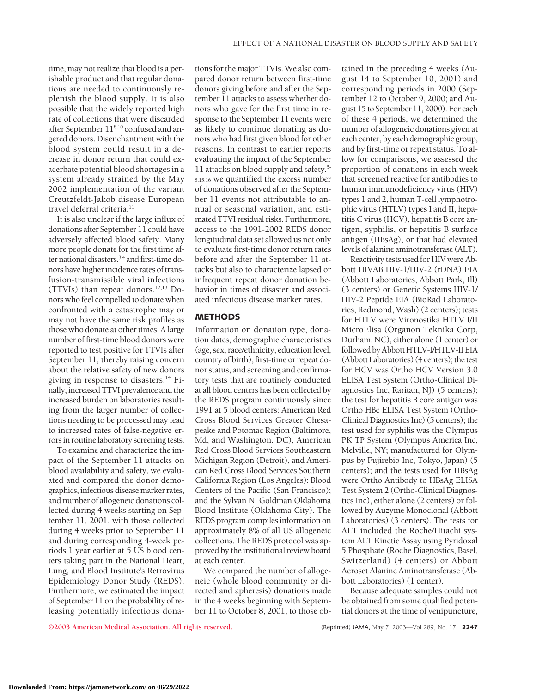time, may not realize that blood is a perishable product and that regular donations are needed to continuously replenish the blood supply. It is also possible that the widely reported high rate of collections that were discarded after September 118,10 confused and angered donors. Disenchantment with the blood system could result in a decrease in donor return that could exacerbate potential blood shortages in a system already strained by the May 2002 implementation of the variant Creutzfeldt-Jakob disease European travel deferral criteria.<sup>11</sup>

It is also unclear if the large influx of donations after September 11 could have adversely affected blood safety. Many more people donate for the first time after national disasters,<sup>3,4</sup> and first-time donors have higher incidence rates of transfusion-transmissible viral infections (TTVIs) than repeat donors. $12,13$  Donors who feel compelled to donate when confronted with a catastrophe may or may not have the same risk profiles as those who donate at other times. A large number of first-time blood donors were reported to test positive for TTVIs after September 11, thereby raising concern about the relative safety of new donors giving in response to disasters.<sup>14</sup> Finally, increased TTVI prevalence and the increased burden on laboratories resulting from the larger number of collections needing to be processed may lead to increased rates of false-negative errors in routine laboratory screening tests.

To examine and characterize the impact of the September 11 attacks on blood availability and safety, we evaluated and compared the donor demographics, infectious disease marker rates, and number of allogeneic donations collected during 4 weeks starting on September 11, 2001, with those collected during 4 weeks prior to September 11 and during corresponding 4-week periods 1 year earlier at 5 US blood centers taking part in the National Heart, Lung, and Blood Institute's Retrovirus Epidemiology Donor Study (REDS). Furthermore, we estimated the impact of September 11 on the probability of releasing potentially infectious donations for the major TTVIs.We also compared donor return between first-time donors giving before and after the September 11 attacks to assess whether donors who gave for the first time in response to the September 11 events were as likely to continue donating as donors who had first given blood for other reasons. In contrast to earlier reports evaluating the impact of the September 11 attacks on blood supply and safety,5- 8,15,16 we quantified the excess number of donations observed after the September 11 events not attributable to annual or seasonal variation, and estimated TTVI residual risks. Furthermore, access to the 1991-2002 REDS donor longitudinal data set allowed us not only to evaluate first-time donor return rates before and after the September 11 attacks but also to characterize lapsed or infrequent repeat donor donation behavior in times of disaster and associated infectious disease marker rates.

# **METHODS**

Information on donation type, donation dates, demographic characteristics (age, sex, race/ethnicity, education level, country of birth), first-time or repeat donor status, and screening and confirmatory tests that are routinely conducted at all blood centers has been collected by the REDS program continuously since 1991 at 5 blood centers: American Red Cross Blood Services Greater Chesapeake and Potomac Region (Baltimore, Md, and Washington, DC), American Red Cross Blood Services Southeastern Michigan Region (Detroit), and American Red Cross Blood Services Southern California Region (Los Angeles); Blood Centers of the Pacific (San Francisco); and the Sylvan N. Goldman Oklahoma Blood Institute (Oklahoma City). The REDS program compiles information on approximately 8% of all US allogeneic collections. The REDS protocol was approved by the institutional review board at each center.

We compared the number of allogeneic (whole blood community or directed and apheresis) donations made in the 4 weeks beginning with September 11 to October 8, 2001, to those ob-

tained in the preceding 4 weeks (August 14 to September 10, 2001) and corresponding periods in 2000 (September 12 to October 9, 2000; and August 15 to September 11, 2000). For each of these 4 periods, we determined the number of allogeneic donations given at each center, by each demographic group, and by first-time or repeat status. To allow for comparisons, we assessed the proportion of donations in each week that screened reactive for antibodies to human immunodeficiency virus (HIV) types 1 and 2, human T-cell lymphotrophic virus (HTLV) types I and II, hepatitis C virus (HCV), hepatitis B core antigen, syphilis, or hepatitis B surface antigen (HBsAg), or that had elevated levels of alanine aminotransferase (ALT).

Reactivity tests used for HIV were Abbott HIVAB HIV-1/HIV-2 (rDNA) EIA (Abbott Laboratories, Abbott Park, Ill) (3 centers) or Genetic Systems HIV-1/ HIV-2 Peptide EIA (BioRad Laboratories, Redmond, Wash) (2 centers); tests for HTLV were Vironostika HTLV I/II MicroElisa (Organon Teknika Corp, Durham, NC), either alone (1 center) or followed by Abbott HTLV-I/HTLV-II EIA (Abbott Laboratories) (4 centers); the test for HCV was Ortho HCV Version 3.0 ELISA Test System (Ortho-Clinical Diagnostics Inc, Raritan, NJ) (5 centers); the test for hepatitis B core antigen was Ortho HBc ELISA Test System (Ortho-Clinical Diagnostics Inc) (5 centers); the test used for syphilis was the Olympus PK TP System (Olympus America Inc, Melville, NY; manufactured for Olympus by Fujirebio Inc, Tokyo, Japan) (5 centers); and the tests used for HBsAg were Ortho Antibody to HBsAg ELISA Test System 2 (Ortho-Clinical Diagnostics Inc), either alone (2 centers) or followed by Auzyme Monoclonal (Abbott Laboratories) (3 centers). The tests for ALT included the Roche/Hitachi system ALT Kinetic Assay using Pyridoxal 5 Phosphate (Roche Diagnostics, Basel, Switzerland) (4 centers) or Abbott Aeroset Alanine Aminotransferase (Abbott Laboratories) (1 center).

Because adequate samples could not be obtained from some qualified potential donors at the time of venipuncture,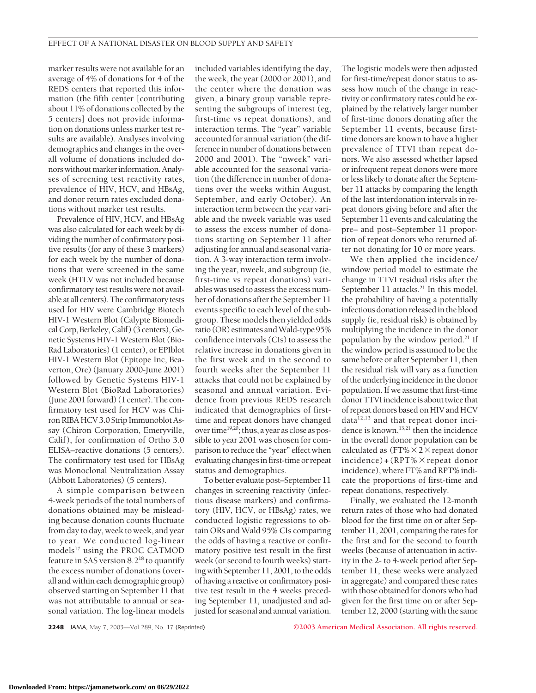marker results were not available for an average of 4% of donations for 4 of the REDS centers that reported this information (the fifth center [contributing about 11% of donations collected by the 5 centers] does not provide information on donations unless marker test results are available). Analyses involving demographics and changes in the overall volume of donations included donors without marker information. Analyses of screening test reactivity rates, prevalence of HIV, HCV, and HBsAg, and donor return rates excluded donations without marker test results.

Prevalence of HIV, HCV, and HBsAg was also calculated for each week by dividing the number of confirmatory positive results (for any of these 3 markers) for each week by the number of donations that were screened in the same week (HTLV was not included because confirmatory test results were not available at all centers). The confirmatory tests used for HIV were Cambridge Biotech HIV-1 Western Blot (Calypte BiomedicalCorp, Berkeley,Calif) (3 centers), Genetic Systems HIV-1 Western Blot (Bio-Rad Laboratories) (1 center), or EPIblot HIV-1 Western Blot (Epitope Inc, Beaverton, Ore) (January 2000-June 2001) followed by Genetic Systems HIV-1 Western Blot (BioRad Laboratories) (June 2001 forward)  $(1$  center). The confirmatory test used for HCV was Chiron RIBA HCV 3.0 Strip Immunoblot Assay (Chiron Corporation, Emeryville, Calif ), for confirmation of Ortho 3.0 ELISA–reactive donations (5 centers). The confirmatory test used for HBsAg was Monoclonal Neutralization Assay (Abbott Laboratories) (5 centers).

A simple comparison between 4-week periods of the total numbers of donations obtained may be misleading because donation counts fluctuate from day to day, week to week, and year to year. We conducted log-linear models<sup>17</sup> using the PROC CATMOD feature in SAS version 8.218 to quantify the excess number of donations (overall and within each demographic group) observed starting on September 11 that was not attributable to annual or seasonal variation. The log-linear models

included variables identifying the day, the week, the year (2000 or 2001), and the center where the donation was given, a binary group variable representing the subgroups of interest (eg, first-time vs repeat donations), and interaction terms. The "year" variable accounted for annual variation (the difference in number of donations between 2000 and 2001). The "nweek" variable accounted for the seasonal variation (the difference in number of donations over the weeks within August, September, and early October). An interaction term between the year variable and the nweek variable was used to assess the excess number of donations starting on September 11 after adjusting for annual and seasonal variation. A 3-way interaction term involving the year, nweek, and subgroup (ie, first-time vs repeat donations) variables was used to assess the excess number of donations after the September 11 events specific to each level of the subgroup. These models then yielded odds ratio (OR) estimates and Wald-type 95% confidence intervals (CIs) to assess the relative increase in donations given in the first week and in the second to fourth weeks after the September 11 attacks that could not be explained by seasonal and annual variation. Evidence from previous REDS research indicated that demographics of firsttime and repeat donors have changed over time<sup>19,20</sup>; thus, a year as close as possible to year 2001 was chosen for comparison to reduce the "year" effect when evaluating changes in first-time or repeat status and demographics.

To better evaluate post–September 11 changes in screening reactivity (infectious disease markers) and confirmatory (HIV, HCV, or HBsAg) rates, we conducted logistic regressions to obtain ORs and Wald 95% CIs comparing the odds of having a reactive or confirmatory positive test result in the first week (or second to fourth weeks) starting with September 11, 2001, to the odds of having a reactive or confirmatory positive test result in the 4 weeks preceding September 11, unadjusted and adjusted for seasonal and annual variation.

The logistic models were then adjusted for first-time/repeat donor status to assess how much of the change in reactivity or confirmatory rates could be explained by the relatively larger number of first-time donors donating after the September 11 events, because firsttime donors are known to have a higher prevalence of TTVI than repeat donors. We also assessed whether lapsed or infrequent repeat donors were more or less likely to donate after the September 11 attacks by comparing the length of the last interdonation intervals in repeat donors giving before and after the September 11 events and calculating the pre– and post–September 11 proportion of repeat donors who returned after not donating for 10 or more years.

We then applied the incidence/ window period model to estimate the change in TTVI residual risks after the September 11 attacks.<sup>21</sup> In this model, the probability of having a potentially infectious donation releasedin the blood supply (ie, residual risk) is obtained by multiplying the incidence in the donor population by the window period.21 If the window period is assumed to be the same before or after September 11, then the residual risk will vary as a function of the underlyingincidencein the donor population. If we assume that first-time donor TTVI incidence is about twice that of repeat donors based on HIV and HCV  $data^{12,13}$  and that repeat donor incidence is known,<sup>13,21</sup> then the incidence in the overall donor population can be calculated as (FT% $\times$ 2 $\times$  repeat donor  $incidence$  + (RPT%  $\times$  repeat donor incidence), where FT% and RPT% indicate the proportions of first-time and repeat donations, respectively.

Finally, we evaluated the 12-month return rates of those who had donated blood for the first time on or after September 11, 2001, comparing the rates for the first and for the second to fourth weeks (because of attenuation in activity in the 2- to 4-week period after September 11, these weeks were analyzed in aggregate) and compared these rates with those obtained for donors who had given for the first time on or after September 12, 2000 (starting with the same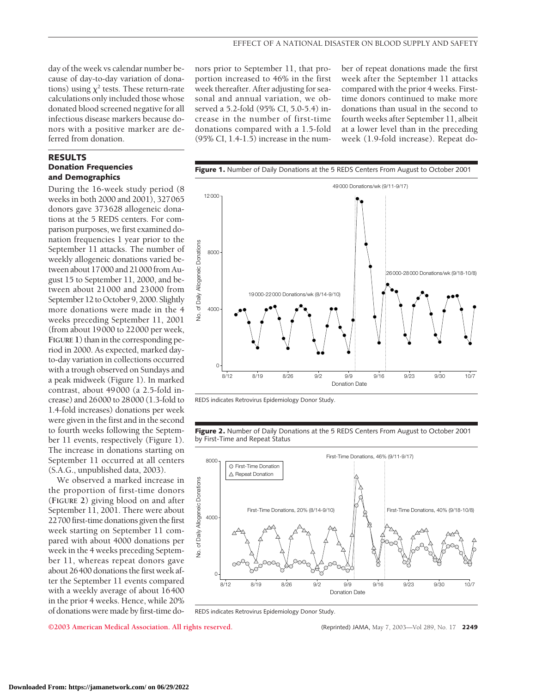day of the week vs calendar number because of day-to-day variation of donations) using  $\chi^2$  tests. These return-rate calculations only included those whose donated blood screened negative for all infectious disease markers because donors with a positive marker are deferred from donation.

## **RESULTS Donation Frequencies and Demographics**

During the 16-week study period (8 weeks in both 2000 and 2001), 327065 donors gave 373628 allogeneic donations at the 5 REDS centers. For comparison purposes, we first examined donation frequencies 1 year prior to the September 11 attacks. The number of weekly allogeneic donations varied between about 17000 and 21000 from August 15 to September 11, 2000, and between about 21000 and 23000 from September 12 to October 9, 2000. Slightly more donations were made in the 4 weeks preceding September 11, 2001 (from about 19000 to 22000 per week, **FIGURE 1**) than in the corresponding period in 2000. As expected, marked dayto-day variation in collections occurred with a trough observed on Sundays and a peak midweek (Figure 1). In marked contrast, about 49000 (a 2.5-fold increase) and 26000 to 28000 (1.3-fold to 1.4-fold increases) donations per week were given in the first and in the second to fourth weeks following the September 11 events, respectively (Figure 1). The increase in donations starting on September 11 occurred at all centers (S.A.G., unpublished data, 2003).

We observed a marked increase in the proportion of first-time donors (**FIGURE 2**) giving blood on and after September 11, 2001. There were about 22700 first-time donations given the first week starting on September 11 compared with about 4000 donations per week in the 4 weeks preceding September 11, whereas repeat donors gave about 26400 donations the first week after the September 11 events compared with a weekly average of about 16400 in the prior 4 weeks. Hence, while 20% of donations were made by first-time donors prior to September 11, that proportion increased to 46% in the first week thereafter. After adjusting for seasonal and annual variation, we observed a 5.2-fold (95% CI, 5.0-5.4) increase in the number of first-time donations compared with a 1.5-fold (95% CI, 1.4-1.5) increase in the num-

ber of repeat donations made the first week after the September 11 attacks compared with the prior 4 weeks. Firsttime donors continued to make more donations than usual in the second to fourth weeks after September 11, albeit at a lower level than in the preceding week (1.9-fold increase). Repeat do-



REDS indicates Retrovirus Epidemiology Donor Study.

**Figure 2.** Number of Daily Donations at the 5 REDS Centers From August to October 2001 by First-Time and Repeat Status



REDS indicates Retrovirus Epidemiology Donor Study.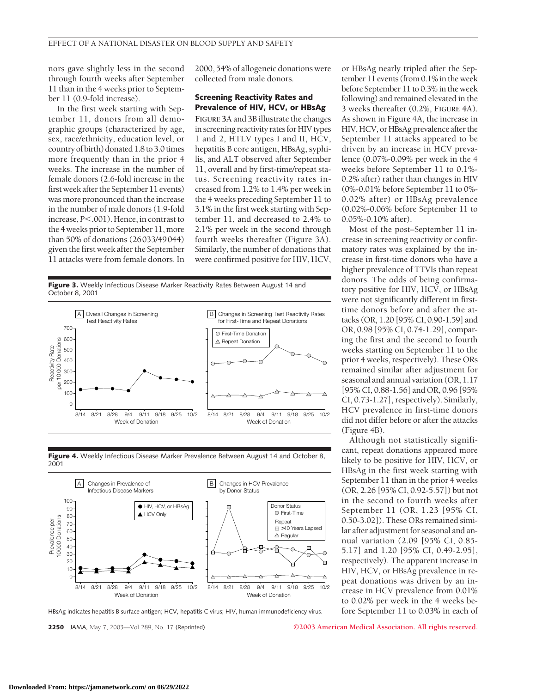nors gave slightly less in the second through fourth weeks after September 11 than in the 4 weeks prior to September 11 (0.9-fold increase).

In the first week starting with September 11, donors from all demographic groups (characterized by age, sex, race/ethnicity, education level, or country of birth) donated 1.8 to 3.0 times more frequently than in the prior 4 weeks. The increase in the number of female donors (2.6-fold increase in the first week after the September 11 events) was more pronounced than the increase in the number of male donors (1.9-fold increase, *P*.001). Hence, in contrast to the 4 weeks prior to September 11, more than 50% of donations (26033/49044) given the first week after the September 11 attacks were from female donors. In

2000, 54% of allogeneic donations were collected from male donors.

## **Screening Reactivity Rates and Prevalence of HIV, HCV, or HBsAg**

**FIGURE 3**A and 3B illustrate the changes in screening reactivity rates for HIV types 1 and 2, HTLV types I and II, HCV, hepatitis B core antigen, HBsAg, syphilis, and ALT observed after September 11, overall and by first-time/repeat status. Screening reactivity rates increased from 1.2% to 1.4% per week in the 4 weeks preceding September 11 to 3.1% in the first week starting with September 11, and decreased to 2.4% to 2.1% per week in the second through fourth weeks thereafter (Figure 3A). Similarly, the number of donations that were confirmed positive for HIV, HCV,

Figure 3. Weekly Infectious Disease Marker Reactivity Rates Between August 14 and October 8, 2001



Figure 4. Weekly Infectious Disease Marker Prevalence Between August 14 and October 8, 2001



HBsAg indicates hepatitis B surface antigen; HCV, hepatitis C virus; HIV, human immunodeficiency virus.

**2250** JAMA, May 7, 2003—Vol 289, No. 17 (Reprinted) **©2003 American Medical Association. All rights reserved.**

or HBsAg nearly tripled after the September 11 events (from 0.1% in the week before September 11 to 0.3% in the week following) and remained elevated in the 3 weeks thereafter (0.2%, **FIGURE 4**A). As shown in Figure 4A, the increase in HIV, HCV, or HBsAg prevalence after the September 11 attacks appeared to be driven by an increase in HCV prevalence (0.07%-0.09% per week in the 4 weeks before September 11 to 0.1%- 0.2% after) rather than changes in HIV (0%-0.01% before September 11 to 0%- 0.02% after) or HBsAg prevalence (0.02%-0.06% before September 11 to 0.05%-0.10% after).

Most of the post–September 11 increase in screening reactivity or confirmatory rates was explained by the increase in first-time donors who have a higher prevalence of TTVIs than repeat donors. The odds of being confirmatory positive for HIV, HCV, or HBsAg were not significantly different in firsttime donors before and after the attacks (OR, 1.20 [95% CI, 0.90-1.59] and OR, 0.98 [95% CI, 0.74-1.29], comparing the first and the second to fourth weeks starting on September 11 to the prior 4 weeks, respectively). These ORs remained similar after adjustment for seasonal and annual variation (OR, 1.17 [95% CI, 0.88-1.56] and OR, 0.96 [95% CI, 0.73-1.27], respectively). Similarly, HCV prevalence in first-time donors did not differ before or after the attacks (Figure 4B).

Although not statistically significant, repeat donations appeared more likely to be positive for HIV, HCV, or HBsAg in the first week starting with September 11 than in the prior 4 weeks (OR, 2.26 [95% CI, 0.92-5.57]) but not in the second to fourth weeks after September 11 (OR, 1.23 [95% CI, 0.50-3.02]). These ORs remained similar after adjustment for seasonal and annual variation (2.09 [95% CI, 0.85- 5.17] and 1.20 [95% CI, 0.49-2.95], respectively). The apparent increase in HIV, HCV, or HBsAg prevalence in repeat donations was driven by an increase in HCV prevalence from 0.01% to 0.02% per week in the 4 weeks before September 11 to 0.03% in each of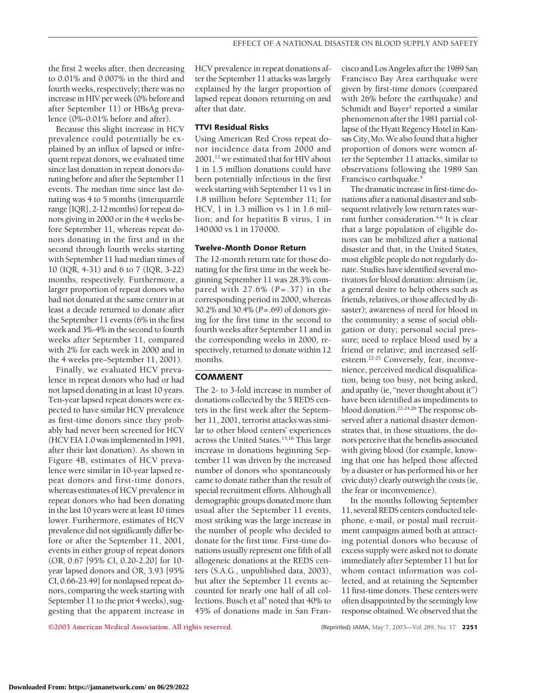the first 2 weeks after, then decreasing to 0.01% and 0.007% in the third and fourth weeks, respectively; there was no increase in HIV per week (0% before and after September 11) or HBsAg prevalence (0%-0.01% before and after).

Because this slight increase in HCV prevalence could potentially be explained by an influx of lapsed or infrequent repeat donors, we evaluated time since last donation in repeat donors donating before and after the September 11 events. The median time since last donating was 4 to 5 months (interquartile range [IQR], 2-12 months) for repeat donors giving in 2000 or in the 4 weeks before September 11, whereas repeat donors donating in the first and in the second through fourth weeks starting with September 11 had median times of 10 (IQR, 4-31) and 6 to 7 (IQR, 3-22) months, respectively. Furthermore, a larger proportion of repeat donors who had not donated at the same center in at least a decade returned to donate after the September 11 events (6% in the first week and 3%-4% in the second to fourth weeks after September 11, compared with 2% for each week in 2000 and in the 4 weeks pre–September 11, 2001).

Finally, we evaluated HCV prevalence in repeat donors who had or had not lapsed donating in at least 10 years. Ten-year lapsed repeat donors were expected to have similar HCV prevalence as first-time donors since they probably had never been screened for HCV (HCV EIA 1.0 wasimplementedin 1991, after their last donation). As shown in Figure 4B, estimates of HCV prevalence were similar in 10-year lapsed repeat donors and first-time donors, whereas estimates of HCV prevalence in repeat donors who had been donating in the last 10 years were at least 10 times lower. Furthermore, estimates of HCV prevalence did not significantly differ before or after the September 11, 2001, events in either group of repeat donors (OR, 0.67 [95% CI, 0.20-2.20] for 10 year lapsed donors and OR, 3.93 [95% CI, 0.66-23.49] for nonlapsed repeat donors, comparing the week starting with September 11 to the prior 4 weeks), suggesting that the apparent increase in

HCV prevalence in repeat donations after the September 11 attacks was largely explained by the larger proportion of lapsed repeat donors returning on and after that date.

#### **TTVI Residual Risks**

Using American Red Cross repeat donor incidence data from 2000 and 2001,13 we estimated that for HIV about 1 in 1.5 million donations could have been potentially infectious in the first week starting with September 11 vs 1 in 1.8 million before September 11; for HCV, 1 in 1.3 million vs 1 in 1.6 million; and for hepatitis B virus, 1 in 140000 vs 1 in 170000.

## **Twelve-Month Donor Return**

The 12-month return rate for those donating for the first time in the week beginning September 11 was 28.3% compared with 27.6% (*P* =.37) in the corresponding period in 2000, whereas 30.2% and 30.4% (*P*=.69) of donors giving for the first time in the second to fourth weeks after September 11 and in the corresponding weeks in 2000, respectively, returned to donate within 12 months.

# **COMMENT**

The 2- to 3-fold increase in number of donations collected by the 5 REDS centers in the first week after the September 11, 2001, terrorist attacks was similar to other blood centers' experiences across the United States.<sup>15,16</sup> This large increase in donations beginning September 11 was driven by the increased number of donors who spontaneously came to donate rather than the result of special recruitment efforts. Although all demographic groups donated more than usual after the September 11 events, most striking was the large increase in the number of people who decided to donate for the first time. First-time donations usually represent one fifth of all allogeneic donations at the REDS centers (S.A.G., unpublished data, 2003), but after the September 11 events accounted for nearly one half of all collections. Busch et al<sup>4</sup> noted that  $40\%$  to 45% of donations made in San Fran-

cisco and Los Angeles after the 1989 San Francisco Bay Area earthquake were given by first-time donors (compared with 26% before the earthquake) and Schmidt and Bayer<sup>3</sup> reported a similar phenomenon after the 1981 partial collapse of the Hyatt Regency Hotel in Kansas City, Mo. We also found that a higher proportion of donors were women after the September 11 attacks, similar to observations following the 1989 San Francisco earthquake.<sup>4</sup>

The dramatic increase in first-time donations after a national disaster and subsequent relatively low return rates warrant further consideration.<sup>4-6</sup> It is clear that a large population of eligible donors can be mobilized after a national disaster and that, in the United States, most eligible people do not regularly donate. Studies have identified several motivators for blood donation: altruism (ie, a general desire to help others such as friends, relatives, or those affected by disaster); awareness of need for blood in the community; a sense of social obligation or duty; personal social pressure; need to replace blood used by a friend or relative; and increased selfesteem.22-25 Conversely, fear, inconvenience, perceived medical disqualification, being too busy, not being asked, and apathy (ie, "never thought about it") have been identified as impediments to blood donation.22-24,26 The response observed after a national disaster demonstrates that, in those situations, the donors perceive that the benefits associated with giving blood (for example, knowing that one has helped those affected by a disaster or has performed his or her civic duty) clearly outweigh the costs (ie, the fear or inconvenience).

In the months following September 11, several REDS centers conducted telephone, e-mail, or postal mail recruitment campaigns aimed both at attracting potential donors who because of excess supply were asked not to donate immediately after September 11 but for whom contact information was collected, and at retaining the September 11 first-time donors. These centers were often disappointed by the seemingly low response obtained.We observed that the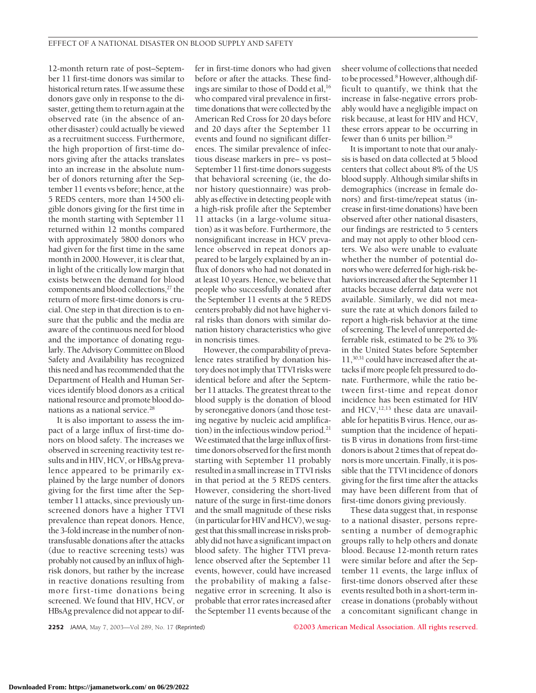12-month return rate of post–September 11 first-time donors was similar to historical return rates. If we assume these donors gave only in response to the disaster, getting them to return again at the observed rate (in the absence of another disaster) could actually be viewed as a recruitment success. Furthermore, the high proportion of first-time donors giving after the attacks translates into an increase in the absolute number of donors returning after the September 11 events vs before; hence, at the 5 REDS centers, more than 14500 eligible donors giving for the first time in the month starting with September 11 returned within 12 months compared with approximately 5800 donors who had given for the first time in the same month in 2000. However, it is clear that, in light of the critically low margin that exists between the demand for blood components and blood collections,<sup>27</sup> the return of more first-time donors is crucial. One step in that direction is to ensure that the public and the media are aware of the continuous need for blood and the importance of donating regularly. The Advisory Committee on Blood Safety and Availability has recognized this need and has recommended that the Department of Health and Human Services identify blood donors as a critical national resource and promote blood donations as a national service.28

It is also important to assess the impact of a large influx of first-time donors on blood safety. The increases we observed in screening reactivity test results and in HIV, HCV, or HBsAg prevalence appeared to be primarily explained by the large number of donors giving for the first time after the September 11 attacks, since previously unscreened donors have a higher TTVI prevalence than repeat donors. Hence, the 3-fold increase in the number of nontransfusable donations after the attacks (due to reactive screening tests) was probably not caused by an influx of highrisk donors, but rather by the increase in reactive donations resulting from more first-time donations being screened. We found that HIV, HCV, or HBsAg prevalence did not appear to differ in first-time donors who had given before or after the attacks. These findings are similar to those of Dodd et al,<sup>16</sup> who compared viral prevalence in firsttime donations that were collected by the American Red Cross for 20 days before and 20 days after the September 11 events and found no significant differences. The similar prevalence of infectious disease markers in pre– vs post– September 11 first-time donors suggests that behavioral screening (ie, the donor history questionnaire) was probably as effective in detecting people with a high-risk profile after the September 11 attacks (in a large-volume situation) as it was before. Furthermore, the nonsignificant increase in HCV prevalence observed in repeat donors appeared to be largely explained by an influx of donors who had not donated in at least 10 years. Hence, we believe that people who successfully donated after the September 11 events at the 5 REDS centers probably did not have higher viral risks than donors with similar donation history characteristics who give in noncrisis times.

However, the comparability of prevalence rates stratified by donation history does notimply that TTVI risks were identical before and after the September 11 attacks. The greatest threat to the blood supply is the donation of blood by seronegative donors (and those testing negative by nucleic acid amplification) in the infectious window period.<sup>21</sup> We estimated that the large influx of firsttime donors observed for the first month starting with September 11 probably resulted in a small increase in TTVI risks in that period at the 5 REDS centers. However, considering the short-lived nature of the surge in first-time donors and the small magnitude of these risks (in particular for HIV and HCV), we suggest that this smallincreasein risks probably did not have a significant impact on blood safety. The higher TTVI prevalence observed after the September 11 events, however, could have increased the probability of making a falsenegative error in screening. It also is probable that error rates increased after the September 11 events because of the

sheer volume of collections that needed to be processed.<sup>8</sup> However, although difficult to quantify, we think that the increase in false-negative errors probably would have a negligible impact on risk because, at least for HIV and HCV, these errors appear to be occurring in fewer than 6 units per billion.<sup>29</sup>

It is important to note that our analysis is based on data collected at 5 blood centers that collect about 8% of the US blood supply. Although similar shifts in demographics (increase in female donors) and first-time/repeat status (increase in first-time donations) have been observed after other national disasters, our findings are restricted to 5 centers and may not apply to other blood centers. We also were unable to evaluate whether the number of potential donors who were deferred for high-risk behaviors increased after the September 11 attacks because deferral data were not available. Similarly, we did not measure the rate at which donors failed to report a high-risk behavior at the time of screening. The level of unreported deferrable risk, estimated to be 2% to 3% in the United States before September 11,30,31 could have increased after the attacks if more people felt pressured to donate. Furthermore, while the ratio between first-time and repeat donor incidence has been estimated for HIV and  $HCV$ ,<sup>12,13</sup> these data are unavailable for hepatitis B virus. Hence, our assumption that the incidence of hepatitis B virus in donations from first-time donors is about 2 times that of repeat donors is more uncertain. Finally, it is possible that the TTVI incidence of donors giving for the first time after the attacks may have been different from that of first-time donors giving previously.

These data suggest that, in response to a national disaster, persons representing a number of demographic groups rally to help others and donate blood. Because 12-month return rates were similar before and after the September 11 events, the large influx of first-time donors observed after these events resulted both in a short-term increase in donations (probably without a concomitant significant change in

**2252** JAMA, May 7, 2003—Vol 289, No. 17 (Reprinted) **©2003 American Medical Association. All rights reserved.**